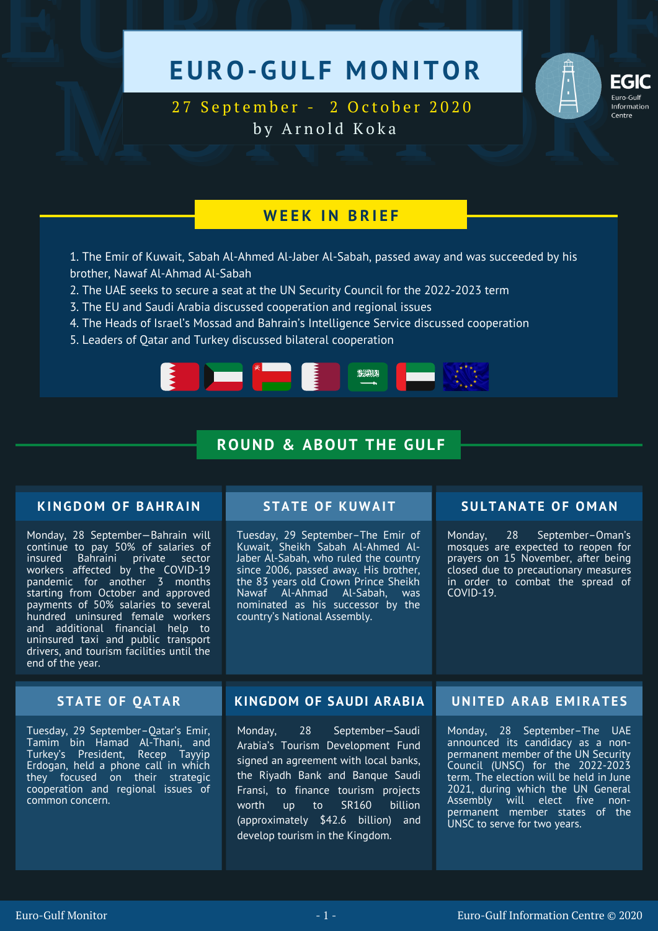# EURO-GULF MONITOR



EGIC<br>
27 September - 2 October 2020<br>
by Arnold Koka 27 September - 2 October 2020 by Arnold Koka

## **W E E K I N B R I E F**

- 1. The Emir of Kuwait, Sabah Al-Ahmed Al-Jaber Al-Sabah, passed away and was succeeded by his brother, Nawaf Al-Ahmad Al-Sabah
- 2. The UAE seeks to secure a seat at the UN Security Council for the 2022-2023 term
- 3. The EU and Saudi Arabia discussed cooperation and regional issues
- 4. The Heads of Israel's Mossad and Bahrain's Intelligence Service discussed cooperation
- 5. Leaders of Qatar and Turkey discussed bilateral cooperation



# **ROUND & ABOUT THE GULF**

## **KINGDOM OF BAHRAIN**

Monday, 28 September—Bahrain will continue to pay 50% of salaries of insured Bahraini private sector workers affected by the COVID-19 pandemic for another 3 months starting from October and approved payments of 50% salaries to several hundred uninsured female workers and additional financial help to uninsured taxi and public transport drivers, and tourism facilities until the end of the year.

Tuesday, 29 September–The Emir of Kuwait, Sheikh Sabah Al-Ahmed Al-Jaber Al-Sabah, who ruled the country since 2006, passed away. His brother, the 83 years old Crown Prince Sheikh Nawaf Al-Ahmad Al-Sabah, was nominated as his successor by the country's National Assembly.

## **STATE OF KUWAIT SULTANATE OF O M AN**

Monday, 28 September–Oman's mosques are expected to reopen for prayers on 15 November, after being closed due to precautionary measures in order to combat the spread of COVID-19.

Tuesday, 29 September–Qatar's Emir, Tamim bin Hamad Al-Thani, and Turkey's President, Recep Tayyip Erdogan, held a phone call in which they focused on their strategic cooperation and regional issues of common concern.

## **STATE OF QATAR KINGDOM OF SAUDI ARABIA UNITED ARAB E M IRATE S**

Monday, 28 September—Saudi Arabia's Tourism Development Fund signed an agreement with local banks, the Riyadh Bank and Banque Saudi Fransi, to finance tourism projects worth up to SR160 billion (approximately \$42.6 billion) and develop tourism in the Kingdom.

Monday, 28 September–The UAE announced its candidacy as a nonpermanent member of the UN Security Council (UNSC) for the 2022-2023 term. The election will be held in June 2021, during which the UN General Assembly will elect five nonpermanent member states of the UNSC to serve for two years.